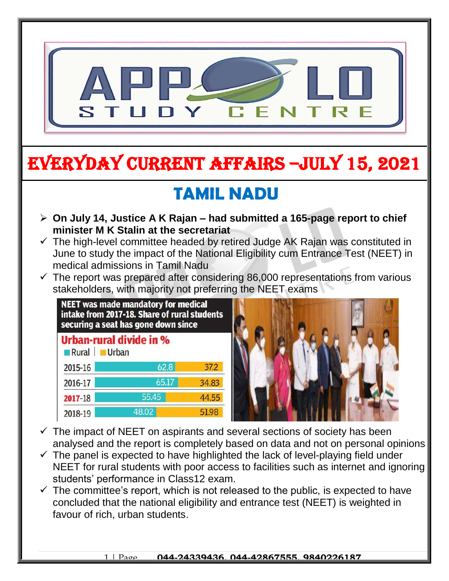

# EVERYDAY CURRENT AFFAIRS –jULY 15, 2021

## **TAMIL NADU**

- **On July 14, Justice A K Rajan – had submitted a 165-page report to chief minister M K Stalin at the secretariat**
- $\checkmark$  The high-level committee headed by retired Judge AK Rajan was constituted in June to study the impact of the National Eligibility cum Entrance Test (NEET) in medical admissions in Tamil Nadu
- $\checkmark$  The report was prepared after considering 86,000 representations from various stakeholders, with majority not preferring the NEET exams

| <b>NEET was made mandatory for medical</b><br>intake from 2017-18. Share of rural students<br>securing a seat has gone down since |       |       |  |  |  |  |  |  |
|-----------------------------------------------------------------------------------------------------------------------------------|-------|-------|--|--|--|--|--|--|
| <b>Urban-rural divide in %</b><br>Rural Urban                                                                                     |       |       |  |  |  |  |  |  |
| 2015-16                                                                                                                           | 62.8  | 37.2  |  |  |  |  |  |  |
| 2016-17                                                                                                                           | 65.17 | 34.83 |  |  |  |  |  |  |
| $2017 - 18$                                                                                                                       | 55.45 | 44.55 |  |  |  |  |  |  |
| 2018-19                                                                                                                           | 48.02 | 51.98 |  |  |  |  |  |  |

-



- $\checkmark$  The impact of NEET on aspirants and several sections of society has been analysed and the report is completely based on data and not on personal opinions
- $\checkmark$  The panel is expected to have highlighted the lack of level-playing field under NEET for rural students with poor access to facilities such as internet and ignoring students' performance in Class12 exam.
- $\checkmark$  The committee's report, which is not released to the public, is expected to have concluded that the national eligibility and entrance test (NEET) is weighted in favour of rich, urban students.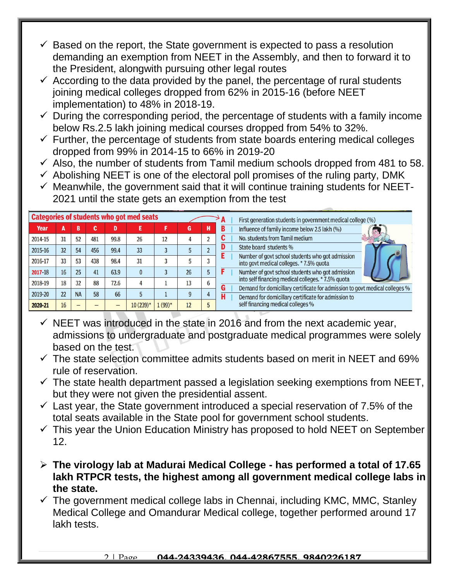- $\checkmark$  Based on the report, the State government is expected to pass a resolution demanding an exemption from NEET in the Assembly, and then to forward it to the President, alongwith pursuing other legal routes
- $\checkmark$  According to the data provided by the panel, the percentage of rural students joining medical colleges dropped from 62% in 2015-16 (before NEET implementation) to 48% in 2018-19.
- $\checkmark$  During the corresponding period, the percentage of students with a family income below Rs.2.5 lakh joining medical courses dropped from 54% to 32%.
- $\checkmark$  Further, the percentage of students from state boards entering medical colleges dropped from 99% in 2014-15 to 66% in 2019-20
- $\checkmark$  Also, the number of students from Tamil medium schools dropped from 481 to 58.
- $\checkmark$  Abolishing NEET is one of the electoral poll promises of the ruling party, DMK
- $\checkmark$  Meanwhile, the government said that it will continue training students for NEET-2021 until the state gets an exemption from the test

| <b>Categories of students who got med seats</b><br>First generation students in government medical college (%) |    |           |        |      |            |          |    |   |                                                                                                                                                                              |  |
|----------------------------------------------------------------------------------------------------------------|----|-----------|--------|------|------------|----------|----|---|------------------------------------------------------------------------------------------------------------------------------------------------------------------------------|--|
| Year                                                                                                           | A  | B         | c<br>u | D    |            |          | G  |   | Influence of family income below 2.5 lakh (%)                                                                                                                                |  |
| 2014-15                                                                                                        | 31 | 52        | 481    | 99.8 | 26         | 12       |    |   | No. students from Tamil medium                                                                                                                                               |  |
| 2015-16                                                                                                        | 32 | 54        | 456    | 99.4 | 33         |          |    |   | State board students %                                                                                                                                                       |  |
| 2016-17                                                                                                        | 33 | 53        | 438    | 98.4 | 31         |          |    |   | Number of govt school students who got admission<br>into govt medical colleges. * 7.5% quota                                                                                 |  |
| 2017-18                                                                                                        | 16 | 25        | 41     | 63.9 |            |          | 26 |   | Number of govt school students who got admission                                                                                                                             |  |
| 2018-19                                                                                                        | 18 | 32        | 88     | 72.6 |            |          | 13 | n | into self financing medical colleges. * 7.5% quota                                                                                                                           |  |
| 2019-20                                                                                                        | 22 | <b>NA</b> | 58     | 66   |            |          |    |   | Demand for domicillary certificate for admission to govt medical colleges %<br>Demand for domicillary certificate for admission to<br>п<br>self financing medical colleges % |  |
| 2020-21                                                                                                        | 16 |           |        |      | $10(239)*$ | $1(99)*$ | 12 |   |                                                                                                                                                                              |  |

- $\checkmark$  NEET was introduced in the state in 2016 and from the next academic year, admissions to undergraduate and postgraduate medical programmes were solely based on the test.
- $\checkmark$  The state selection committee admits students based on merit in NEET and 69% rule of reservation.
- $\checkmark$  The state health department passed a legislation seeking exemptions from NEET, but they were not given the presidential assent.
- $\checkmark$  Last year, the State government introduced a special reservation of 7.5% of the total seats available in the State pool for government school students.
- $\checkmark$  This year the Union Education Ministry has proposed to hold NEET on September 12.
- **The virology lab at Madurai Medical College - has performed a total of 17.65 lakh RTPCR tests, the highest among all government medical college labs in the state.**
- $\checkmark$  The government medical college labs in Chennai, including KMC, MMC, Stanley Medical College and Omandurar Medical college, together performed around 17 lakh tests.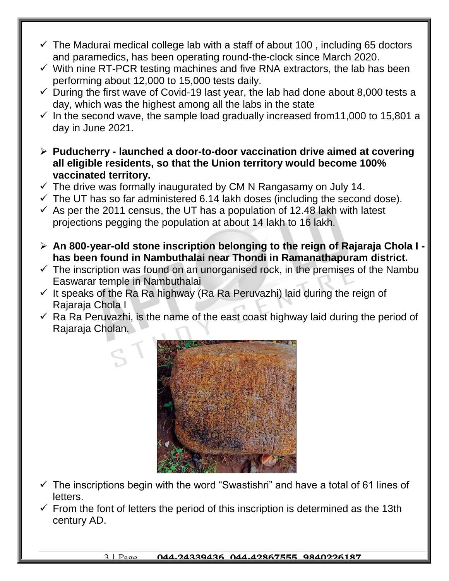- $\checkmark$  The Madurai medical college lab with a staff of about 100, including 65 doctors and paramedics, has been operating round-the-clock since March 2020.
- $\checkmark$  With nine RT-PCR testing machines and five RNA extractors, the lab has been performing about 12,000 to 15,000 tests daily.
- $\checkmark$  During the first wave of Covid-19 last year, the lab had done about 8,000 tests a day, which was the highest among all the labs in the state
- $\checkmark$  In the second wave, the sample load gradually increased from 11,000 to 15,801 a day in June 2021.
- **Puducherry - launched a door-to-door vaccination drive aimed at covering all eligible residents, so that the Union territory would become 100% vaccinated territory.**
- $\checkmark$  The drive was formally inaugurated by CM N Rangasamy on July 14.
- $\checkmark$  The UT has so far administered 6.14 lakh doses (including the second dose).
- $\checkmark$  As per the 2011 census, the UT has a population of 12.48 lakh with latest projections pegging the population at about 14 lakh to 16 lakh.
- **An 800-year-old stone inscription belonging to the reign of Rajaraja Chola I has been found in Nambuthalai near Thondi in Ramanathapuram district.**
- $\checkmark$  The inscription was found on an unorganised rock, in the premises of the Nambu Easwarar temple in Nambuthalai
- $\checkmark$  It speaks of the Ra Ra highway (Ra Ra Peruvazhi) laid during the reign of Rajaraja Chola I
- $\checkmark$  Ra Ra Peruvazhi, is the name of the east coast highway laid during the period of Rajaraja Cholan.



- $\checkmark$  The inscriptions begin with the word "Swastishri" and have a total of 61 lines of letters.
- $\checkmark$  From the font of letters the period of this inscription is determined as the 13th century AD.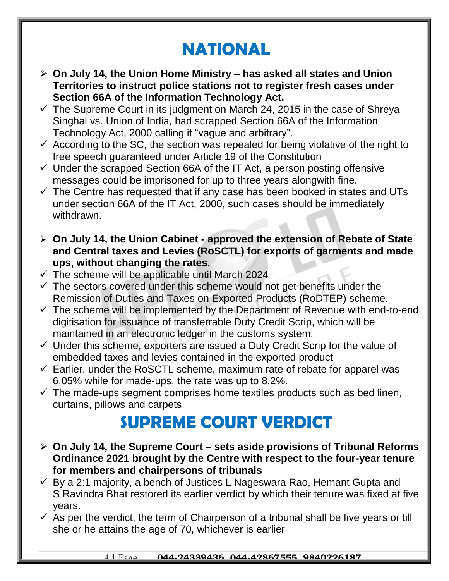## **NATIONAL**

- **On July 14, the Union Home Ministry – has asked all states and Union Territories to instruct police stations not to register fresh cases under Section 66A of the Information Technology Act.**
- $\checkmark$  The Supreme Court in its judgment on March 24, 2015 in the case of Shreya Singhal vs. Union of India, had scrapped Section 66A of the Information Technology Act, 2000 calling it "vague and arbitrary".
- $\checkmark$  According to the SC, the section was repealed for being violative of the right to free speech guaranteed under Article 19 of the Constitution
- $\checkmark$  Under the scrapped Section 66A of the IT Act, a person posting offensive messages could be imprisoned for up to three years alongwith fine.
- $\checkmark$  The Centre has requested that if any case has been booked in states and UTs under section 66A of the IT Act, 2000, such cases should be immediately withdrawn.
- **On July 14, the Union Cabinet - approved the extension of Rebate of State and Central taxes and Levies (RoSCTL) for exports of garments and made ups, without changing the rates.**
- $\checkmark$  The scheme will be applicable until March 2024
- $\checkmark$  The sectors covered under this scheme would not get benefits under the Remission of Duties and Taxes on Exported Products (RoDTEP) scheme.
- $\checkmark$  The scheme will be implemented by the Department of Revenue with end-to-end digitisation for issuance of transferrable Duty Credit Scrip, which will be maintained in an electronic ledger in the customs system.
- $\checkmark$  Under this scheme, exporters are issued a Duty Credit Scrip for the value of embedded taxes and levies contained in the exported product
- $\checkmark$  Earlier, under the RoSCTL scheme, maximum rate of rebate for apparel was 6.05% while for made-ups, the rate was up to 8.2%.
- $\checkmark$  The made-ups segment comprises home textiles products such as bed linen, curtains, pillows and carpets

#### **SUPREME COURT VERDICT**

- **On July 14, the Supreme Court – sets aside provisions of Tribunal Reforms Ordinance 2021 brought by the Centre with respect to the four-year tenure for members and chairpersons of tribunals**
- $\checkmark$  By a 2:1 majority, a bench of Justices L Nageswara Rao, Hemant Gupta and S Ravindra Bhat restored its earlier verdict by which their tenure was fixed at five years.
- $\checkmark$  As per the verdict, the term of Chairperson of a tribunal shall be five years or till she or he attains the age of 70, whichever is earlier